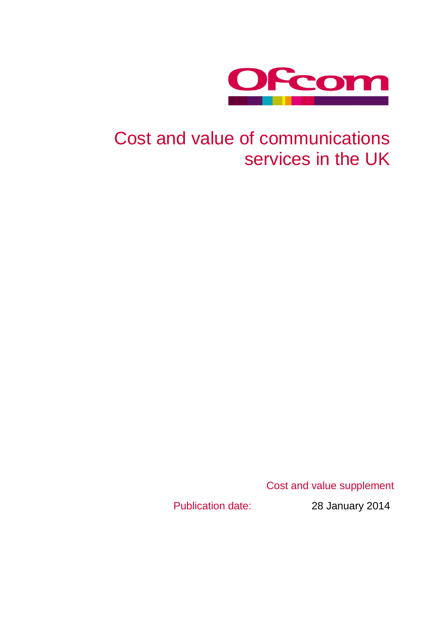

# Cost and value of communications services in the UK

Cost and value supplement

Publication date: 28 January 2014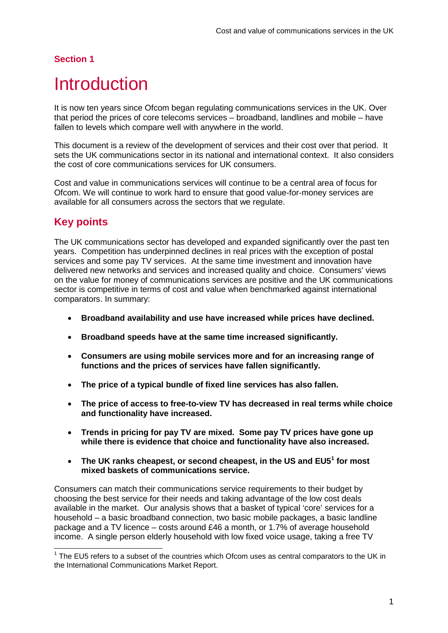## <span id="page-2-1"></span>**Introduction**

It is now ten years since Ofcom began regulating communications services in the UK. Over that period the prices of core telecoms services – broadband, landlines and mobile – have fallen to levels which compare well with anywhere in the world.

This document is a review of the development of services and their cost over that period. It sets the UK communications sector in its national and international context. It also considers the cost of core communications services for UK consumers.

Cost and value in communications services will continue to be a central area of focus for Ofcom. We will continue to work hard to ensure that good value-for-money services are available for all consumers across the sectors that we regulate.

## **Key points**

The UK communications sector has developed and expanded significantly over the past ten years. Competition has underpinned declines in real prices with the exception of postal services and some pay TV services. At the same time investment and innovation have delivered new networks and services and increased quality and choice. Consumers' views on the value for money of communications services are positive and the UK communications sector is competitive in terms of cost and value when benchmarked against international comparators. In summary:

- **Broadband availability and use have increased while prices have declined.**
- **Broadband speeds have at the same time increased significantly.**
- **Consumers are using mobile services more and for an increasing range of functions and the prices of services have fallen significantly.**
- **The price of a typical bundle of fixed line services has also fallen.**
- **The price of access to free-to-view TV has decreased in real terms while choice and functionality have increased.**
- **Trends in pricing for pay TV are mixed. Some pay TV prices have gone up while there is evidence that choice and functionality have also increased.**
- **The UK ranks cheapest, or second cheapest, in the US and EU5[1](#page-2-0) for most mixed baskets of communications service.**

Consumers can match their communications service requirements to their budget by choosing the best service for their needs and taking advantage of the low cost deals available in the market. Our analysis shows that a basket of typical 'core' services for a household – a basic broadband connection, two basic mobile packages, a basic landline package and a TV licence – costs around £46 a month, or 1.7% of average household income. A single person elderly household with low fixed voice usage, taking a free TV

<span id="page-2-0"></span> $1$  The EU5 refers to a subset of the countries which Ofcom uses as central comparators to the UK in the International Communications Market Report.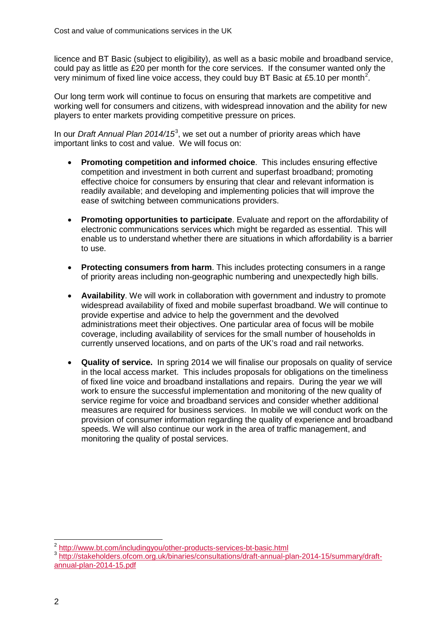licence and BT Basic (subject to eligibility), as well as a basic mobile and broadband service, could pay as little as £20 per month for the core services. If the consumer wanted only the very minimum of fixed line voice access, they could buy BT Basic at £5.10 per month<sup>[2](#page-3-0)</sup>.

Our long term work will continue to focus on ensuring that markets are competitive and working well for consumers and citizens, with widespread innovation and the ability for new players to enter markets providing competitive pressure on prices.

In our *Draft Annual Plan 2014/15*[3](#page-3-1) , we set out a number of priority areas which have important links to cost and value. We will focus on:

- **Promoting competition and informed choice**. This includes ensuring effective competition and investment in both current and superfast broadband; promoting effective choice for consumers by ensuring that clear and relevant information is readily available; and developing and implementing policies that will improve the ease of switching between communications providers.
- **Promoting opportunities to participate**. Evaluate and report on the affordability of electronic communications services which might be regarded as essential. This will enable us to understand whether there are situations in which affordability is a barrier to use.
- **Protecting consumers from harm**. This includes protecting consumers in a range of priority areas including non-geographic numbering and unexpectedly high bills.
- **Availability**. We will work in collaboration with government and industry to promote widespread availability of fixed and mobile superfast broadband. We will continue to provide expertise and advice to help the government and the devolved administrations meet their objectives. One particular area of focus will be mobile coverage, including availability of services for the small number of households in currently unserved locations, and on parts of the UK's road and rail networks.
- **Quality of service.** In spring 2014 we will finalise our proposals on quality of service in the local access market. This includes proposals for obligations on the timeliness of fixed line voice and broadband installations and repairs. During the year we will work to ensure the successful implementation and monitoring of the new quality of service regime for voice and broadband services and consider whether additional measures are required for business services. In mobile we will conduct work on the provision of consumer information regarding the quality of experience and broadband speeds. We will also continue our work in the area of traffic management, and monitoring the quality of postal services.

<span id="page-3-0"></span> <sup>2</sup> <http://www.bt.com/includingyou/other-products-services-bt-basic.html>

<span id="page-3-1"></span><sup>3</sup> [http://stakeholders.ofcom.org.uk/binaries/consultations/draft-annual-plan-2014-15/summary/draft](http://stakeholders.ofcom.org.uk/binaries/consultations/draft-annual-plan-2014-15/summary/draft-annual-plan-2014-15.pdf)[annual-plan-2014-15.pdf](http://stakeholders.ofcom.org.uk/binaries/consultations/draft-annual-plan-2014-15/summary/draft-annual-plan-2014-15.pdf)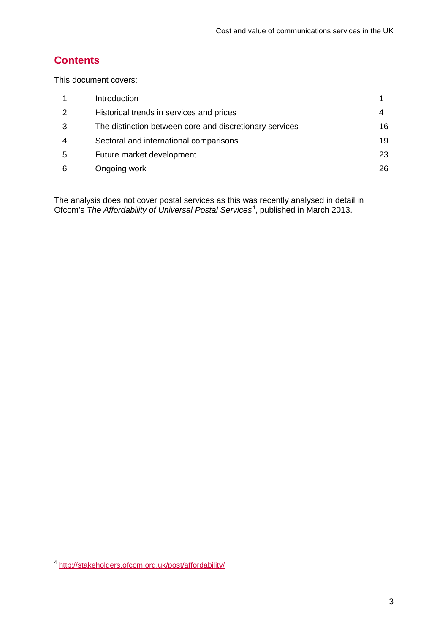## **Contents**

This document covers:

|   | Introduction                                            |    |
|---|---------------------------------------------------------|----|
| 2 | Historical trends in services and prices                |    |
| 3 | The distinction between core and discretionary services | 16 |
| 4 | Sectoral and international comparisons                  | 19 |
| 5 | Future market development                               | 23 |
| 6 | Ongoing work                                            | 26 |

The analysis does not cover postal services as this was recently analysed in detail in Ofcom's The Affordability of Universal Postal Services<sup>[4](#page-4-0)</sup>, published in March 2013.

<span id="page-4-0"></span><http://stakeholders.ofcom.org.uk/post/affordability/>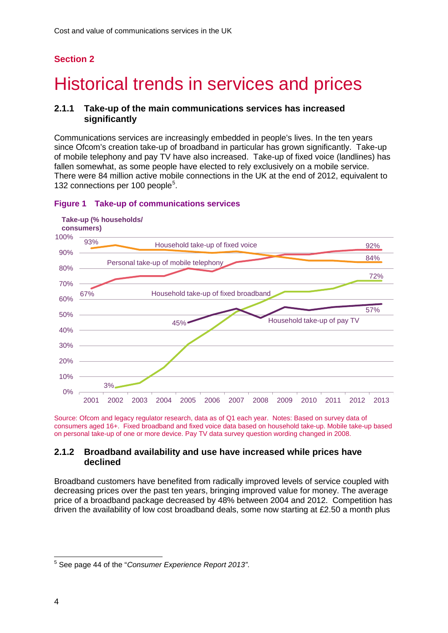# <span id="page-5-0"></span>2 Historical trends in services and prices

### **2.1.1 Take-up of the main communications services has increased significantly**

Communications services are increasingly embedded in people's lives. In the ten years since Ofcom's creation take-up of broadband in particular has grown significantly. Take-up of mobile telephony and pay TV have also increased. Take-up of fixed voice (landlines) has fallen somewhat, as some people have elected to rely exclusively on a mobile service. There were 84 million active mobile connections in the UK at the end of 2012, equivalent to 132 connections per 100 people<sup>[5](#page-5-1)</sup>.



#### **Figure 1 Take-up of communications services**

Source: Ofcom and legacy regulator research, data as of Q1 each year. Notes: Based on survey data of consumers aged 16+. Fixed broadband and fixed voice data based on household take-up. Mobile take-up based on personal take-up of one or more device. Pay TV data survey question wording changed in 2008.

### **2.1.2 Broadband availability and use have increased while prices have declined**

Broadband customers have benefited from radically improved levels of service coupled with decreasing prices over the past ten years, bringing improved value for money. The average price of a broadband package decreased by 48% between 2004 and 2012. Competition has driven the availability of low cost broadband deals, some now starting at £2.50 a month plus

<span id="page-5-1"></span> <sup>5</sup> See page 44 of the "*Consumer Experience Report 2013"*.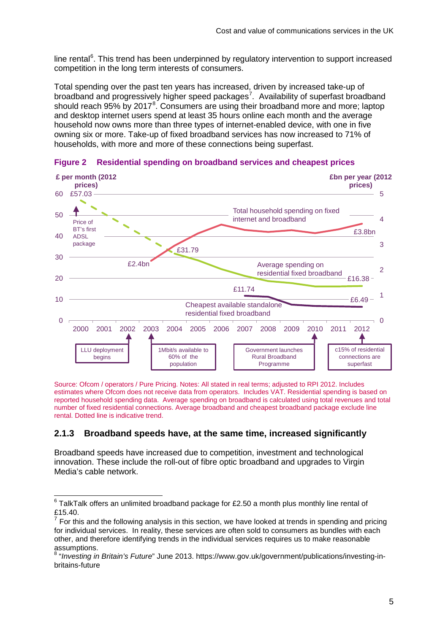line rental<sup>[6](#page-6-0)</sup>. This trend has been underpinned by regulatory intervention to support increased competition in the long term interests of consumers.

Total spending over the past ten years has increased, driven by increased take-up of broadband and progressively higher speed packages<sup>[7](#page-6-1)</sup>. Availability of superfast broadband should reach  $95\%$  by  $2017^8$  $2017^8$ . Consumers are using their broadband more and more; laptop and desktop internet users spend at least 35 hours online each month and the average household now owns more than three types of internet-enabled device, with one in five owning six or more. Take-up of fixed broadband services has now increased to 71% of households, with more and more of these connections being superfast.



**Figure 2 Residential spending on broadband services and cheapest prices**

Source: Ofcom / operators / Pure Pricing. Notes: All stated in real terms; adjusted to RPI 2012. Includes estimates where Ofcom does not receive data from operators. Includes VAT. Residential spending is based on reported household spending data. Average spending on broadband is calculated using total revenues and total number of fixed residential connections. Average broadband and cheapest broadband package exclude line rental. Dotted line is indicative trend.

### **2.1.3 Broadband speeds have, at the same time, increased significantly**

Broadband speeds have increased due to competition, investment and technological innovation. These include the roll-out of fibre optic broadband and upgrades to Virgin Media's cable network.

<span id="page-6-0"></span> $6$  TalkTalk offers an unlimited broadband package for £2.50 a month plus monthly line rental of £15.40.

<span id="page-6-1"></span><sup>7</sup> For this and the following analysis in this section, we have looked at trends in spending and pricing for individual services. In reality, these services are often sold to consumers as bundles with each other, and therefore identifying trends in the individual services requires us to make reasonable assumptions.

<span id="page-6-2"></span><sup>8</sup> "*Investing in Britain's Future*" June 2013. https://www.gov.uk/government/publications/investing-inbritains-future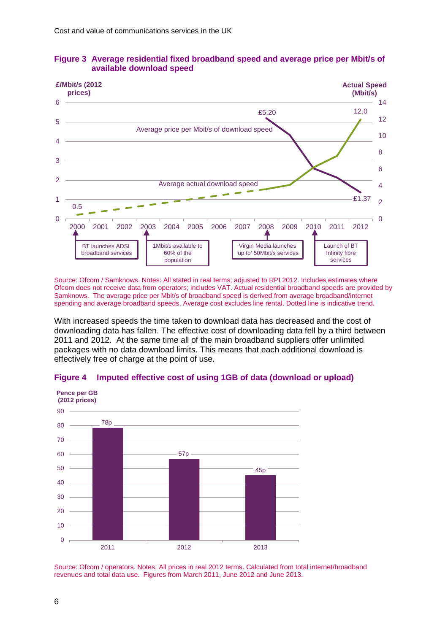

### **Figure 3 Average residential fixed broadband speed and average price per Mbit/s of available download speed**

Source: Ofcom / Samknows. Notes: All stated in real terms; adjusted to RPI 2012. Includes estimates where Ofcom does not receive data from operators; includes VAT. Actual residential broadband speeds are provided by Samknows. The average price per Mbit/s of broadband speed is derived from average broadband/internet spending and average broadband speeds. Average cost excludes line rental. Dotted line is indicative trend.

With increased speeds the time taken to download data has decreased and the cost of downloading data has fallen. The effective cost of downloading data fell by a third between 2011 and 2012. At the same time all of the main broadband suppliers offer unlimited packages with no data download limits. This means that each additional download is effectively free of charge at the point of use.



#### **Figure 4 Imputed effective cost of using 1GB of data (download or upload)**

Source: Ofcom / operators. Notes: All prices in real 2012 terms. Calculated from total internet/broadband revenues and total data use. Figures from March 2011, June 2012 and June 2013.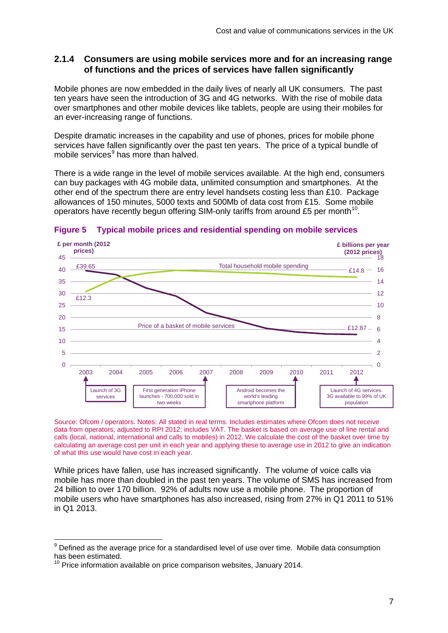### **2.1.4 Consumers are using mobile services more and for an increasing range of functions and the prices of services have fallen significantly**

Mobile phones are now embedded in the daily lives of nearly all UK consumers. The past ten years have seen the introduction of 3G and 4G networks. With the rise of mobile data over smartphones and other mobile devices like tablets, people are using their mobiles for an ever-increasing range of functions.

Despite dramatic increases in the capability and use of phones, prices for mobile phone services have fallen significantly over the past ten years. The price of a typical bundle of mobile services<sup>[9](#page-8-0)</sup> has more than halved.

There is a wide range in the level of mobile services available. At the high end, consumers can buy packages with 4G mobile data, unlimited consumption and smartphones. At the other end of the spectrum there are entry level handsets costing less than £10. Package allowances of 150 minutes, 5000 texts and 500Mb of data cost from £15. Some mobile operators have recently begun offering SIM-only tariffs from around £5 per month<sup>[10](#page-8-1)</sup>.



**Figure 5 Typical mobile prices and residential spending on mobile services**

Source: Ofcom / operators. Notes: All stated in real terms. Includes estimates where Ofcom does not receive data from operators; adjusted to RPI 2012; includes VAT. The basket is based on average use of line rental and calls (local, national, international and calls to mobiles) in 2012. We calculate the cost of the basket over time by calculating an average cost per unit in each year and applying these to average use in 2012 to give an indication of what this use would have cost in each year.

While prices have fallen, use has increased significantly. The volume of voice calls via mobile has more than doubled in the past ten years. The volume of SMS has increased from 24 billion to over 170 billion. 92% of adults now use a mobile phone. The proportion of mobile users who have smartphones has also increased, rising from 27% in Q1 2011 to 51% in Q1 2013.

<span id="page-8-0"></span> $9$  Defined as the average price for a standardised level of use over time. Mobile data consumption has been estimated.

<span id="page-8-1"></span> $10$  Price information available on price comparison websites, January 2014.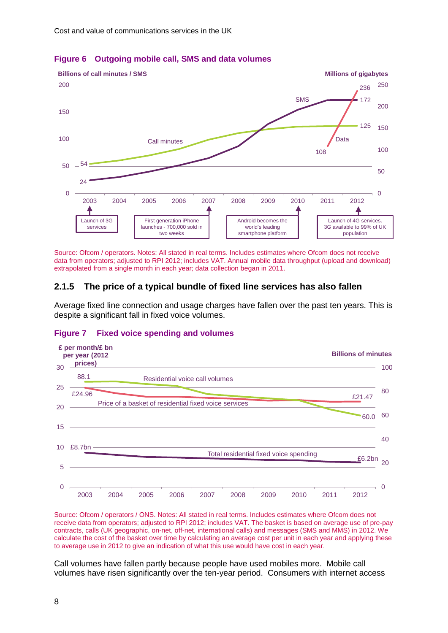

### **Figure 6 Outgoing mobile call, SMS and data volumes**

Source: Ofcom / operators. Notes: All stated in real terms. Includes estimates where Ofcom does not receive data from operators; adjusted to RPI 2012; includes VAT. Annual mobile data throughput (upload and download) extrapolated from a single month in each year; data collection began in 2011.

### **2.1.5 The price of a typical bundle of fixed line services has also fallen**

Average fixed line connection and usage charges have fallen over the past ten years. This is despite a significant fall in fixed voice volumes.





Source: Ofcom / operators / ONS. Notes: All stated in real terms. Includes estimates where Ofcom does not receive data from operators; adjusted to RPI 2012; includes VAT. The basket is based on average use of pre-pay contracts, calls (UK geographic, on-net, off-net, international calls) and messages (SMS and MMS) in 2012. We calculate the cost of the basket over time by calculating an average cost per unit in each year and applying these to average use in 2012 to give an indication of what this use would have cost in each year.

Call volumes have fallen partly because people have used mobiles more. Mobile call volumes have risen significantly over the ten-year period. Consumers with internet access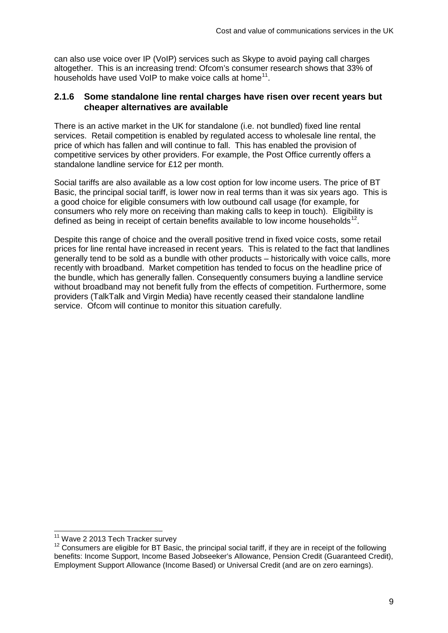can also use voice over IP (VoIP) services such as Skype to avoid paying call charges altogether. This is an increasing trend: Ofcom's consumer research shows that 33% of households have used VoIP to make voice calls at home<sup>[11](#page-10-0)</sup>.

### **2.1.6 Some standalone line rental charges have risen over recent years but cheaper alternatives are available**

There is an active market in the UK for standalone (i.e. not bundled) fixed line rental services. Retail competition is enabled by regulated access to wholesale line rental, the price of which has fallen and will continue to fall. This has enabled the provision of competitive services by other providers. For example, the Post Office currently offers a standalone landline service for £12 per month.

Social tariffs are also available as a low cost option for low income users. The price of BT Basic, the principal social tariff, is lower now in real terms than it was six years ago. This is a good choice for eligible consumers with low outbound call usage (for example, for consumers who rely more on receiving than making calls to keep in touch). Eligibility is defined as being in receipt of certain benefits available to low income households<sup>12</sup>.

Despite this range of choice and the overall positive trend in fixed voice costs, some retail prices for line rental have increased in recent years. This is related to the fact that landlines generally tend to be sold as a bundle with other products – historically with voice calls, more recently with broadband. Market competition has tended to focus on the headline price of the bundle, which has generally fallen. Consequently consumers buying a landline service without broadband may not benefit fully from the effects of competition. Furthermore, some providers (TalkTalk and Virgin Media) have recently ceased their standalone landline service. Ofcom will continue to monitor this situation carefully.

<span id="page-10-1"></span><span id="page-10-0"></span><sup>&</sup>lt;sup>11</sup> Wave 2 2013 Tech Tracker survey<br><sup>12</sup> Consumers are eligible for BT Basic, the principal social tariff, if they are in receipt of the following benefits: Income Support, Income Based Jobseeker's Allowance, Pension Credit (Guaranteed Credit), Employment Support Allowance (Income Based) or Universal Credit (and are on zero earnings).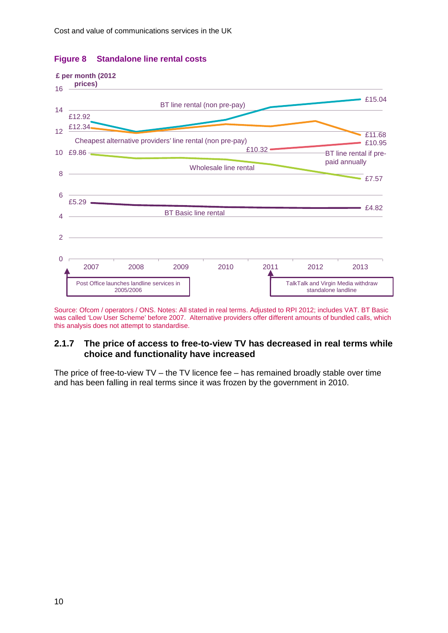

### **Figure 8 Standalone line rental costs**

Source: Ofcom / operators / ONS. Notes: All stated in real terms. Adjusted to RPI 2012; includes VAT. BT Basic was called 'Low User Scheme' before 2007. Alternative providers offer different amounts of bundled calls, which this analysis does not attempt to standardise.

## **2.1.7 The price of access to free-to-view TV has decreased in real terms while choice and functionality have increased**

The price of free-to-view  $TV$  – the TV licence fee – has remained broadly stable over time and has been falling in real terms since it was frozen by the government in 2010.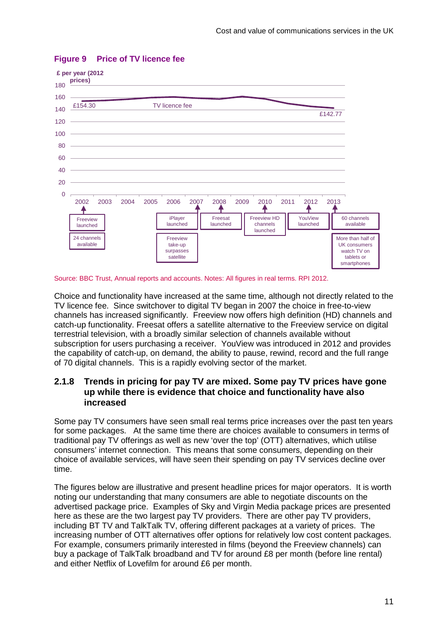

## **Figure 9 Price of TV licence fee**

#### Source: BBC Trust, Annual reports and accounts. Notes: All figures in real terms. RPI 2012.

Choice and functionality have increased at the same time, although not directly related to the TV licence fee. Since switchover to digital TV began in 2007 the choice in free-to-view channels has increased significantly. Freeview now offers high definition (HD) channels and catch-up functionality. Freesat offers a satellite alternative to the Freeview service on digital terrestrial television, with a broadly similar selection of channels available without subscription for users purchasing a receiver. YouView was introduced in 2012 and provides the capability of catch-up, on demand, the ability to pause, rewind, record and the full range of 70 digital channels. This is a rapidly evolving sector of the market.

### **2.1.8 Trends in pricing for pay TV are mixed. Some pay TV prices have gone up while there is evidence that choice and functionality have also increased**

Some pay TV consumers have seen small real terms price increases over the past ten years for some packages. At the same time there are choices available to consumers in terms of traditional pay TV offerings as well as new 'over the top' (OTT) alternatives, which utilise consumers' internet connection. This means that some consumers, depending on their choice of available services, will have seen their spending on pay TV services decline over time.

The figures below are illustrative and present headline prices for major operators. It is worth noting our understanding that many consumers are able to negotiate discounts on the advertised package price. Examples of Sky and Virgin Media package prices are presented here as these are the two largest pay TV providers. There are other pay TV providers, including BT TV and TalkTalk TV, offering different packages at a variety of prices. The increasing number of OTT alternatives offer options for relatively low cost content packages. For example, consumers primarily interested in films (beyond the Freeview channels) can buy a package of TalkTalk broadband and TV for around £8 per month (before line rental) and either Netflix of Lovefilm for around £6 per month.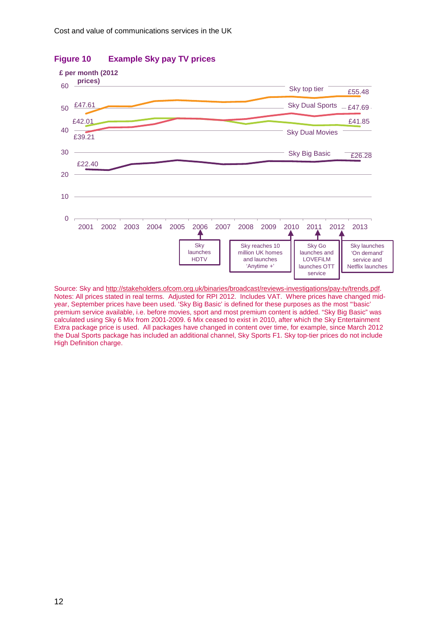

### **Figure 10 Example Sky pay TV prices**

Source: Sky an[d http://stakeholders.ofcom.org.uk/binaries/broadcast/reviews-investigations/pay-tv/trends.pdf.](http://stakeholders.ofcom.org.uk/binaries/broadcast/reviews-investigations/pay-tv/trends.pdf) Notes: All prices stated in real terms. Adjusted for RPI 2012. Includes VAT. Where prices have changed midyear, September prices have been used. 'Sky Big Basic' is defined for these purposes as the most "'basic' premium service available, i.e. before movies, sport and most premium content is added. "Sky Big Basic" was calculated using Sky 6 Mix from 2001-2009. 6 Mix ceased to exist in 2010, after which the Sky Entertainment Extra package price is used. All packages have changed in content over time, for example, since March 2012 the Dual Sports package has included an additional channel, Sky Sports F1. Sky top-tier prices do not include High Definition charge.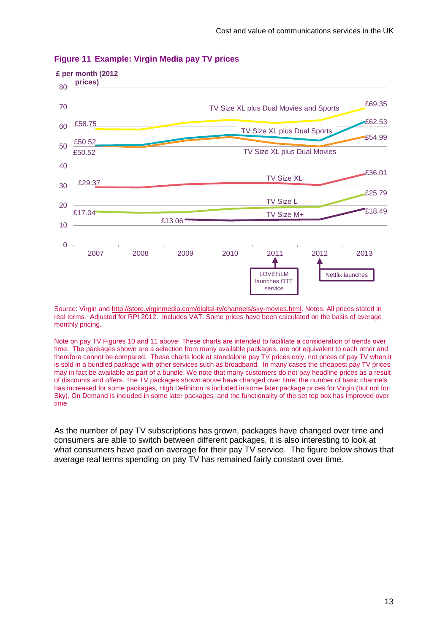

#### **Figure 11 Example: Virgin Media pay TV prices**

Source: Virgin an[d http://store.virginmedia.com/digital-tv/channels/sky-movies.html.](http://store.virginmedia.com/digital-tv/channels/sky-movies.html) Notes: All prices stated in real terms. Adjusted for RPI 2012. Includes VAT. Some prices have been calculated on the basis of average monthly pricing.

Note on pay TV Figures 10 and 11 above: These charts are intended to facilitate a consideration of trends over time. The packages shown are a selection from many available packages, are not equivalent to each other and therefore cannot be compared. These charts look at standalone pay TV prices only, not prices of pay TV when it is sold in a bundled package with other services such as broadband. In many cases the cheapest pay TV prices may in fact be available as part of a bundle. We note that many customers do not pay headline prices as a result of discounts and offers. The TV packages shown above have changed over time; the number of basic channels has increased for some packages, High Definition is included in some later package prices for Virgin (but not for Sky)*,* On Demand is included in some later packages*,* and the functionality of the set top box has improved over time.

As the number of pay TV subscriptions has grown, packages have changed over time and consumers are able to switch between different packages, it is also interesting to look at what consumers have paid on average for their pay TV service. The figure below shows that average real terms spending on pay TV has remained fairly constant over time.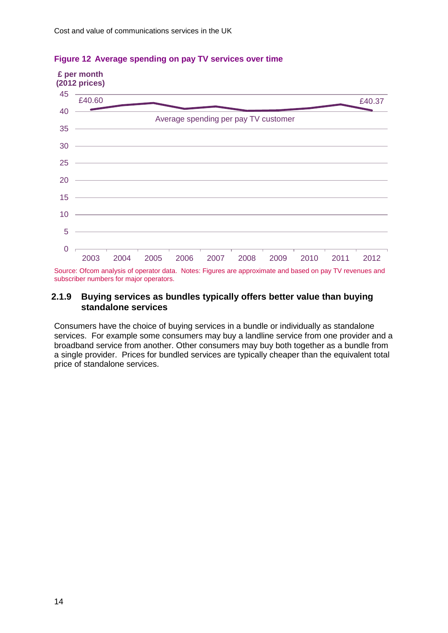

### **Figure 12 Average spending on pay TV services over time**

Source: Ofcom analysis of operator data. Notes: Figures are approximate and based on pay TV revenues and subscriber numbers for major operators.

### **2.1.9 Buying services as bundles typically offers better value than buying standalone services**

Consumers have the choice of buying services in a bundle or individually as standalone services. For example some consumers may buy a landline service from one provider and a broadband service from another. Other consumers may buy both together as a bundle from a single provider. Prices for bundled services are typically cheaper than the equivalent total price of standalone services.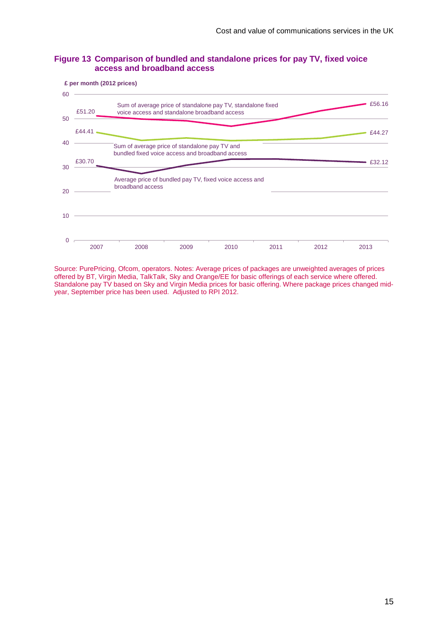





Source: PurePricing, Ofcom, operators. Notes: Average prices of packages are unweighted averages of prices offered by BT, Virgin Media, TalkTalk, Sky and Orange/EE for basic offerings of each service where offered. Standalone pay TV based on Sky and Virgin Media prices for basic offering. Where package prices changed midyear, September price has been used. Adjusted to RPI 2012.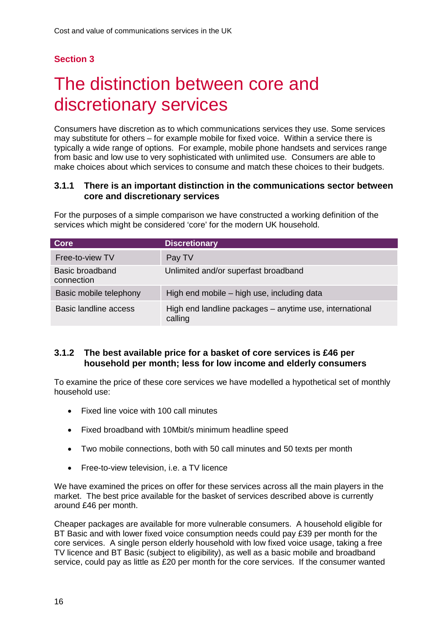# <span id="page-17-0"></span>The distinction between core and discretionary services

Consumers have discretion as to which communications services they use. Some services may substitute for others – for example mobile for fixed voice. Within a service there is typically a wide range of options. For example, mobile phone handsets and services range from basic and low use to very sophisticated with unlimited use. Consumers are able to make choices about which services to consume and match these choices to their budgets.

### **3.1.1 There is an important distinction in the communications sector between core and discretionary services**

For the purposes of a simple comparison we have constructed a working definition of the services which might be considered 'core' for the modern UK household.

| <b>Core</b>                   | <b>Discretionary</b>                                               |
|-------------------------------|--------------------------------------------------------------------|
| Free-to-view TV               | Pay TV                                                             |
| Basic broadband<br>connection | Unlimited and/or superfast broadband                               |
| Basic mobile telephony        | High end mobile – high use, including data                         |
| Basic landline access         | High end landline packages - anytime use, international<br>calling |

### **3.1.2 The best available price for a basket of core services is £46 per household per month; less for low income and elderly consumers**

To examine the price of these core services we have modelled a hypothetical set of monthly household use:

- Fixed line voice with 100 call minutes
- Fixed broadband with 10Mbit/s minimum headline speed
- Two mobile connections, both with 50 call minutes and 50 texts per month
- Free-to-view television, i.e. a TV licence

We have examined the prices on offer for these services across all the main players in the market. The best price available for the basket of services described above is currently around £46 per month.

Cheaper packages are available for more vulnerable consumers. A household eligible for BT Basic and with lower fixed voice consumption needs could pay £39 per month for the core services. A single person elderly household with low fixed voice usage, taking a free TV licence and BT Basic (subject to eligibility), as well as a basic mobile and broadband service, could pay as little as £20 per month for the core services. If the consumer wanted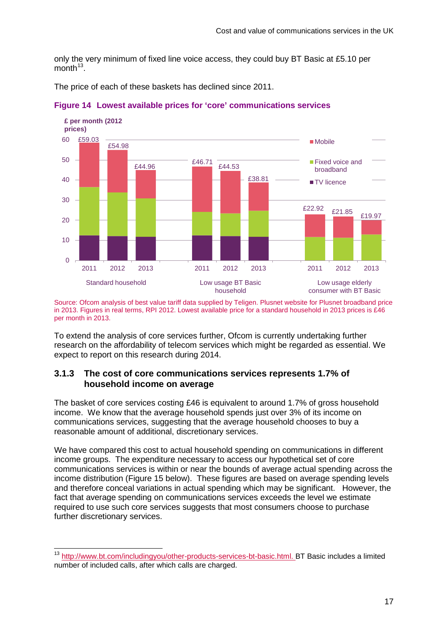only the very minimum of fixed line voice access, they could buy BT Basic at £5.10 per  $month<sup>13</sup>$ 

The price of each of these baskets has declined since 2011.



**Figure 14 Lowest available prices for 'core' communications services** 

Source: Ofcom analysis of best value tariff data supplied by Teligen. Plusnet website for Plusnet broadband price in 2013. Figures in real terms, RPI 2012. Lowest available price for a standard household in 2013 prices is £46 per month in 2013.

To extend the analysis of core services further, Ofcom is currently undertaking further research on the affordability of telecom services which might be regarded as essential. We expect to report on this research during 2014.

### **3.1.3 The cost of core communications services represents 1.7% of household income on average**

The basket of core services costing £46 is equivalent to around 1.7% of gross household income. We know that the average household spends just over 3% of its income on communications services, suggesting that the average household chooses to buy a reasonable amount of additional, discretionary services.

We have compared this cost to actual household spending on communications in different income groups. The expenditure necessary to access our hypothetical set of core communications services is within or near the bounds of average actual spending across the income distribution (Figure 15 below). These figures are based on average spending levels and therefore conceal variations in actual spending which may be significant. However, the fact that average spending on communications services exceeds the level we estimate required to use such core services suggests that most consumers choose to purchase further discretionary services.

<span id="page-18-0"></span> <sup>13</sup> [http://www.bt.com/includingyou/other-products-services-bt-basic.html.](http://www.bt.com/includingyou/other-products-services-bt-basic.html) BT Basic includes a limited number of included calls, after which calls are charged.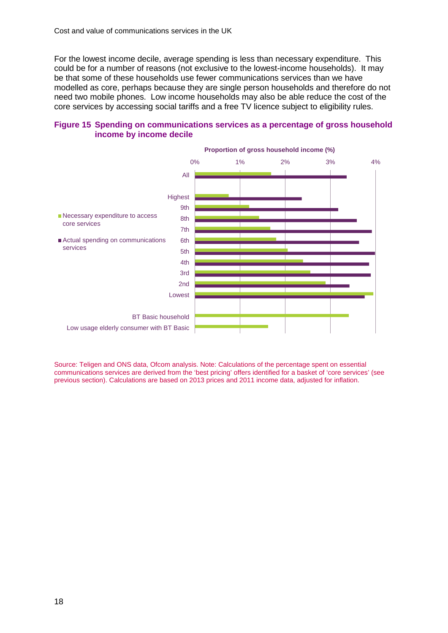For the lowest income decile, average spending is less than necessary expenditure. This could be for a number of reasons (not exclusive to the lowest-income households). It may be that some of these households use fewer communications services than we have modelled as core, perhaps because they are single person households and therefore do not need two mobile phones. Low income households may also be able reduce the cost of the core services by accessing social tariffs and a free TV licence subject to eligibility rules.



### **Figure 15 Spending on communications services as a percentage of gross household income by income decile**

Source: Teligen and ONS data, Ofcom analysis. Note: Calculations of the percentage spent on essential communications services are derived from the 'best pricing' offers identified for a basket of 'core services' (see previous section). Calculations are based on 2013 prices and 2011 income data, adjusted for inflation.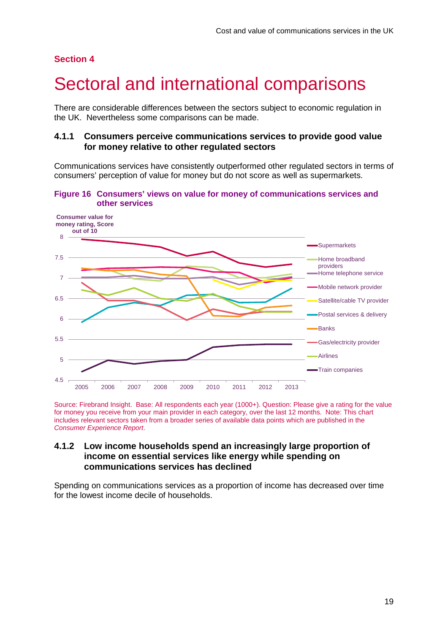## <span id="page-20-0"></span>Sectoral and international comparisons

There are considerable differences between the sectors subject to economic regulation in the UK. Nevertheless some comparisons can be made.

### **4.1.1 Consumers perceive communications services to provide good value for money relative to other regulated sectors**

Communications services have consistently outperformed other regulated sectors in terms of consumers' perception of value for money but do not score as well as supermarkets.

**Figure 16 Consumers' views on value for money of communications services and other services** 



Source: Firebrand Insight. Base: All respondents each year (1000+). Question: Please give a rating for the value for money you receive from your main provider in each category, over the last 12 months. Note: This chart includes relevant sectors taken from a broader series of available data points which are published in the *Consumer Experience Report*.

### **4.1.2 Low income households spend an increasingly large proportion of income on essential services like energy while spending on communications services has declined**

Spending on communications services as a proportion of income has decreased over time for the lowest income decile of households.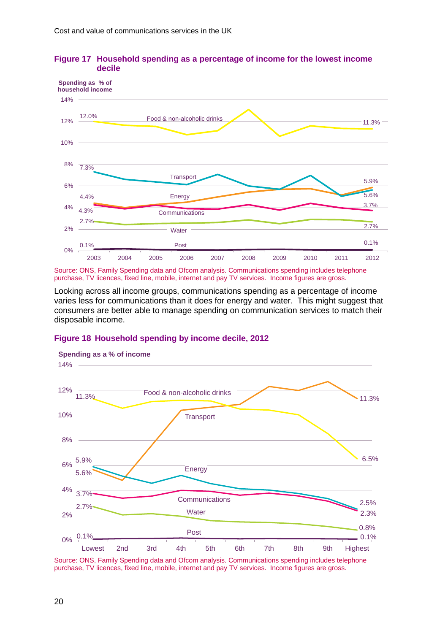



Source: ONS, Family Spending data and Ofcom analysis. Communications spending includes telephone purchase, TV licences, fixed line, mobile, internet and pay TV services. Income figures are gross.

Looking across all income groups, communications spending as a percentage of income varies less for communications than it does for energy and water. This might suggest that consumers are better able to manage spending on communication services to match their disposable income.

#### **Figure 18 Household spending by income decile, 2012**



**Spending as a % of income**

Source: ONS, Family Spending data and Ofcom analysis. Communications spending includes telephone purchase, TV licences, fixed line, mobile, internet and pay TV services. Income figures are gross.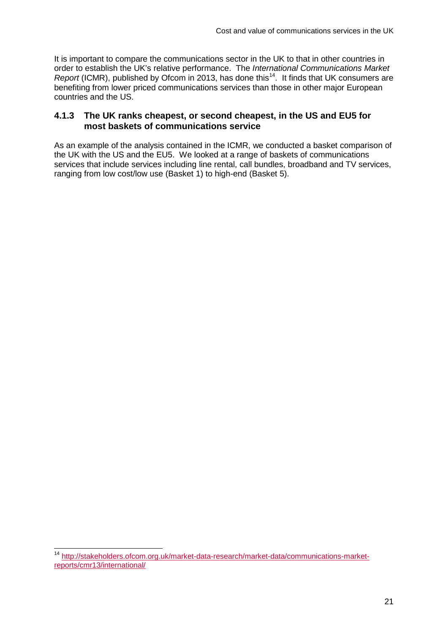It is important to compare the communications sector in the UK to that in other countries in order to establish the UK's relative performance. The *International Communications Market Report* (ICMR), published by Ofcom in 2013, has done this<sup>14</sup>. It finds that UK consumers are benefiting from lower priced communications services than those in other major European countries and the US.

### **4.1.3 The UK ranks cheapest, or second cheapest, in the US and EU5 for most baskets of communications service**

As an example of the analysis contained in the ICMR, we conducted a basket comparison of the UK with the US and the EU5. We looked at a range of baskets of communications services that include services including line rental, call bundles, broadband and TV services, ranging from low cost/low use (Basket 1) to high-end (Basket 5).

<span id="page-22-0"></span> <sup>14</sup> [http://stakeholders.ofcom.org.uk/market-data-research/market-data/communications-market](http://stakeholders.ofcom.org.uk/market-data-research/market-data/communications-market-reports/cmr13/international/)[reports/cmr13/international/](http://stakeholders.ofcom.org.uk/market-data-research/market-data/communications-market-reports/cmr13/international/)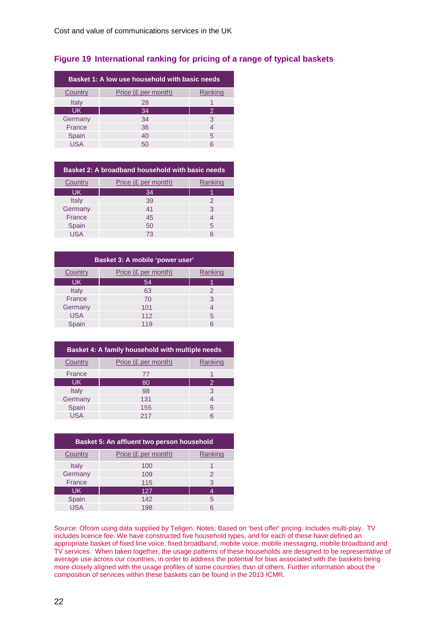### **Figure 19 International ranking for pricing of a range of typical baskets**

| Basket 1: A low use household with basic needs |                     |         |
|------------------------------------------------|---------------------|---------|
| Country                                        | Price (£ per month) | Ranking |
| Italy                                          | 28                  |         |
| <b>UK</b>                                      | 34                  | 2       |
| Germany                                        | 34                  | 3       |
| France                                         | 36                  | 4       |
| Spain                                          | 40                  | 5       |
| <b>USA</b>                                     | 50                  | հ       |

| Basket 2: A broadband household with basic needs |                     |         |
|--------------------------------------------------|---------------------|---------|
| Country                                          | Price (£ per month) | Ranking |
| UK.                                              | 34                  |         |
| Italy                                            | 39                  | 2       |
| Germany                                          | 41                  | 3       |
| France                                           | 45                  |         |
| Spain                                            | 50                  | 5       |
| USA                                              | 73                  |         |

| Basket 3: A mobile 'power user' |               |  |
|---------------------------------|---------------|--|
| Price (£ per month)             | Ranking       |  |
| 54                              |               |  |
| 63                              | $\mathcal{P}$ |  |
| 70                              | 3             |  |
| 101                             | 4             |  |
| 112                             | 5             |  |
| 119                             | հ             |  |
|                                 |               |  |

| Basket 4: A family household with multiple needs |                     |         |
|--------------------------------------------------|---------------------|---------|
| Country                                          | Price (£ per month) | Ranking |
| France                                           | 77                  |         |
| <b>UK</b>                                        | 80                  | 2       |
| <b>Italy</b>                                     | 98                  | 3       |
| Germany                                          | 131                 | 4       |
| Spain                                            | 155                 | 5       |
| USA                                              | 217                 | 6       |

| Basket 5: An affluent two person household |                     |               |
|--------------------------------------------|---------------------|---------------|
| Country                                    | Price (£ per month) | Ranking       |
| Italy                                      | 100                 |               |
| Germany                                    | 109                 | $\mathcal{P}$ |
| France                                     | 115                 | 3             |
| UK.                                        | 127                 | 4             |
| Spain                                      | 142                 | 5             |
| <b>USA</b>                                 | 198                 | 6             |
|                                            |                     |               |

Source: Ofcom using data supplied by Teligen. Notes: Based on 'best offer' pricing. Includes multi-play. TV includes licence fee. We have constructed five household types, and for each of these have defined an appropriate basket of fixed line voice, fixed broadband, mobile voice, mobile messaging, mobile broadband and TV services. When taken together, the usage patterns of these households are designed to be representative of average use across our countries, in order to address the potential for bias associated with the baskets being more closely aligned with the usage profiles of some countries than of others. Further information about the composition of services within these baskets can be found in the 2013 ICMR.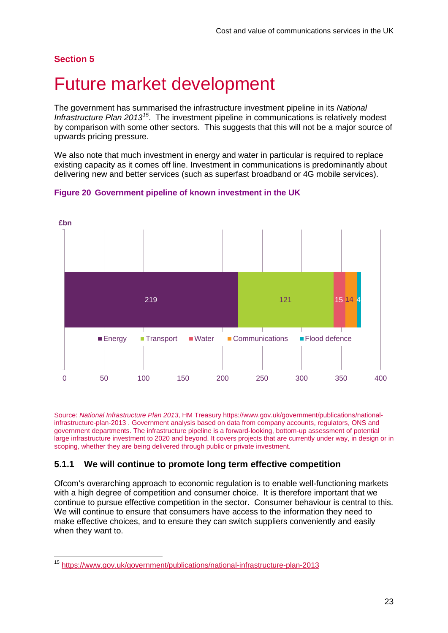## <span id="page-24-0"></span>5 Future market development

The government has summarised the infrastructure investment pipeline in its *National Infrastructure Plan 2013[15](#page-24-1)*. The investment pipeline in communications is relatively modest by comparison with some other sectors. This suggests that this will not be a major source of upwards pricing pressure.

We also note that much investment in energy and water in particular is required to replace existing capacity as it comes off line. Investment in communications is predominantly about delivering new and better services (such as superfast broadband or 4G mobile services).



### **Figure 20 Government pipeline of known investment in the UK**

Source: *National Infrastructure Plan 2013*, HM Treasury [https://www.gov.uk/government/publications/national](https://www.gov.uk/government/publications/national-infrastructure-plan-2013)[infrastructure-plan-2013](https://www.gov.uk/government/publications/national-infrastructure-plan-2013) . Government analysis based on data from company accounts, regulators, ONS and government departments. The infrastructure pipeline is a forward-looking, bottom-up assessment of potential large infrastructure investment to 2020 and beyond. It covers projects that are currently under way, in design or in scoping, whether they are being delivered through public or private investment.

### **5.1.1 We will continue to promote long term effective competition**

Ofcom's overarching approach to economic regulation is to enable well-functioning markets with a high degree of competition and consumer choice. It is therefore important that we continue to pursue effective competition in the sector. Consumer behaviour is central to this. We will continue to ensure that consumers have access to the information they need to make effective choices, and to ensure they can switch suppliers conveniently and easily when they want to.

<span id="page-24-1"></span> <sup>15</sup> <https://www.gov.uk/government/publications/national-infrastructure-plan-2013>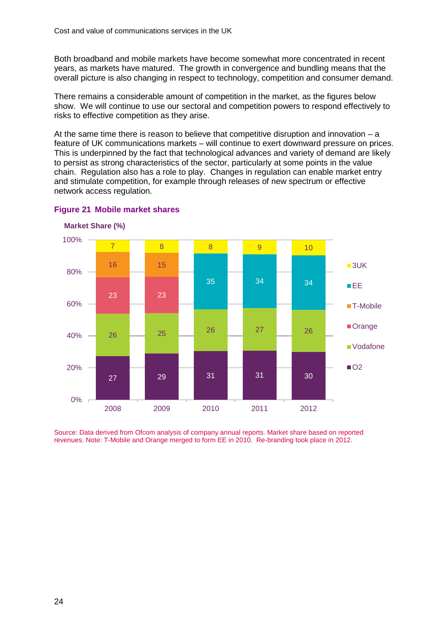Both broadband and mobile markets have become somewhat more concentrated in recent years, as markets have matured. The growth in convergence and bundling means that the overall picture is also changing in respect to technology, competition and consumer demand.

There remains a considerable amount of competition in the market, as the figures below show. We will continue to use our sectoral and competition powers to respond effectively to risks to effective competition as they arise.

At the same time there is reason to believe that competitive disruption and innovation  $- a$ feature of UK communications markets – will continue to exert downward pressure on prices. This is underpinned by the fact that technological advances and variety of demand are likely to persist as strong characteristics of the sector, particularly at some points in the value chain. Regulation also has a role to play. Changes in regulation can enable market entry and stimulate competition, for example through releases of new spectrum or effective network access regulation.



**Figure 21 Mobile market shares** 

**Market Share (%)**

Source: Data derived from Ofcom analysis of company annual reports. Market share based on reported revenues. Note: T-Mobile and Orange merged to form EE in 2010. Re-branding took place in 2012.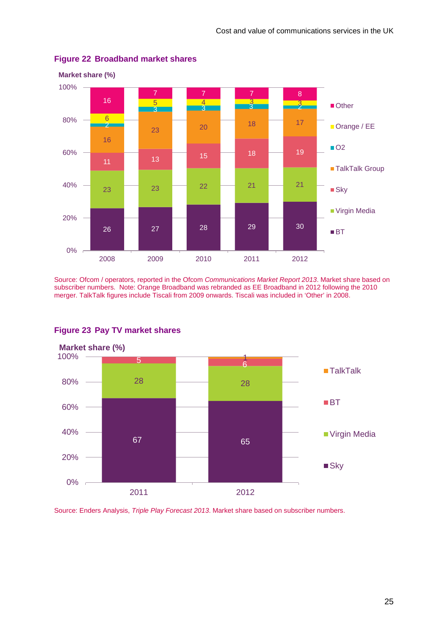

### **Figure 22 Broadband market shares**

Source: Ofcom / operators, reported in the Ofcom *Communications Market Report 2013*. Market share based on subscriber numbers. Note: Orange Broadband was rebranded as EE Broadband in 2012 following the 2010 merger. TalkTalk figures include Tiscali from 2009 onwards. Tiscali was included in 'Other' in 2008.



### **Figure 23 Pay TV market shares**

Source: Enders Analysis, *Triple Play Forecast 2013*. Market share based on subscriber numbers.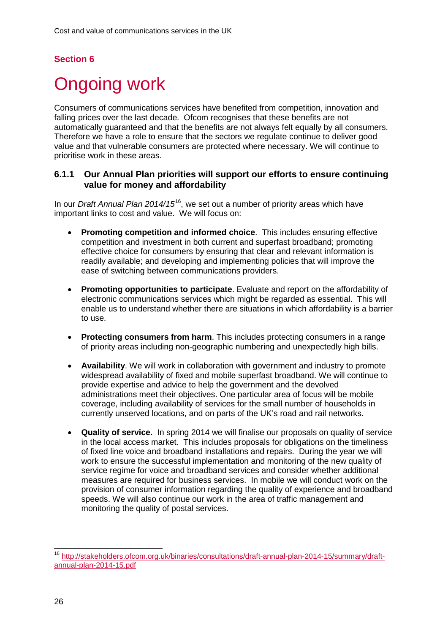# <span id="page-27-0"></span>**Ongoing work**

Consumers of communications services have benefited from competition, innovation and falling prices over the last decade. Ofcom recognises that these benefits are not automatically guaranteed and that the benefits are not always felt equally by all consumers. Therefore we have a role to ensure that the sectors we regulate continue to deliver good value and that vulnerable consumers are protected where necessary. We will continue to prioritise work in these areas.

### **6.1.1 Our Annual Plan priorities will support our efforts to ensure continuing value for money and affordability**

In our *Draft Annual Plan 2014/15*[16](#page-27-1), we set out a number of priority areas which have important links to cost and value. We will focus on:

- **Promoting competition and informed choice**. This includes ensuring effective competition and investment in both current and superfast broadband; promoting effective choice for consumers by ensuring that clear and relevant information is readily available; and developing and implementing policies that will improve the ease of switching between communications providers.
- **Promoting opportunities to participate**. Evaluate and report on the affordability of electronic communications services which might be regarded as essential. This will enable us to understand whether there are situations in which affordability is a barrier to use.
- **Protecting consumers from harm**. This includes protecting consumers in a range of priority areas including non-geographic numbering and unexpectedly high bills.
- **Availability**. We will work in collaboration with government and industry to promote widespread availability of fixed and mobile superfast broadband. We will continue to provide expertise and advice to help the government and the devolved administrations meet their objectives. One particular area of focus will be mobile coverage, including availability of services for the small number of households in currently unserved locations, and on parts of the UK's road and rail networks.
- **Quality of service.** In spring 2014 we will finalise our proposals on quality of service in the local access market. This includes proposals for obligations on the timeliness of fixed line voice and broadband installations and repairs. During the year we will work to ensure the successful implementation and monitoring of the new quality of service regime for voice and broadband services and consider whether additional measures are required for business services. In mobile we will conduct work on the provision of consumer information regarding the quality of experience and broadband speeds. We will also continue our work in the area of traffic management and monitoring the quality of postal services.

<span id="page-27-1"></span> <sup>16</sup> [http://stakeholders.ofcom.org.uk/binaries/consultations/draft-annual-plan-2014-15/summary/draft](http://stakeholders.ofcom.org.uk/binaries/consultations/draft-annual-plan-2014-15/summary/draft-annual-plan-2014-15.pdf)[annual-plan-2014-15.pdf](http://stakeholders.ofcom.org.uk/binaries/consultations/draft-annual-plan-2014-15/summary/draft-annual-plan-2014-15.pdf)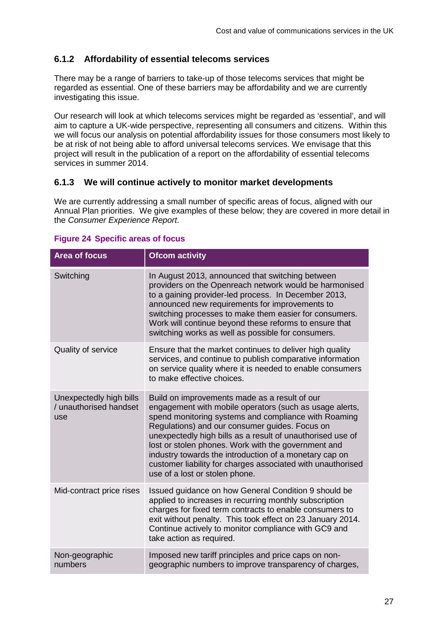## **6.1.2 Affordability of essential telecoms services**

There may be a range of barriers to take-up of those telecoms services that might be regarded as essential. One of these barriers may be affordability and we are currently investigating this issue.

Our research will look at which telecoms services might be regarded as 'essential', and will aim to capture a UK-wide perspective, representing all consumers and citizens. Within this we will focus our analysis on potential affordability issues for those consumers most likely to be at risk of not being able to afford universal telecoms services. We envisage that this project will result in the publication of a report on the affordability of essential telecoms services in summer 2014.

### **6.1.3 We will continue actively to monitor market developments**

We are currently addressing a small number of specific areas of focus, aligned with our Annual Plan priorities. We give examples of these below; they are covered in more detail in the *Consumer Experience Report*.

| <b>Area of focus</b>                                     | <b>Ofcom activity</b>                                                                                                                                                                                                                                                                                                                                                                                                                                                                              |
|----------------------------------------------------------|----------------------------------------------------------------------------------------------------------------------------------------------------------------------------------------------------------------------------------------------------------------------------------------------------------------------------------------------------------------------------------------------------------------------------------------------------------------------------------------------------|
| Switching                                                | In August 2013, announced that switching between<br>providers on the Openreach network would be harmonised<br>to a gaining provider-led process. In December 2013,<br>announced new requirements for improvements to<br>switching processes to make them easier for consumers.<br>Work will continue beyond these reforms to ensure that<br>switching works as well as possible for consumers.                                                                                                     |
| Quality of service                                       | Ensure that the market continues to deliver high quality<br>services, and continue to publish comparative information<br>on service quality where it is needed to enable consumers<br>to make effective choices.                                                                                                                                                                                                                                                                                   |
| Unexpectedly high bills<br>/ unauthorised handset<br>use | Build on improvements made as a result of our<br>engagement with mobile operators (such as usage alerts,<br>spend monitoring systems and compliance with Roaming<br>Regulations) and our consumer guides. Focus on<br>unexpectedly high bills as a result of unauthorised use of<br>lost or stolen phones. Work with the government and<br>industry towards the introduction of a monetary cap on<br>customer liability for charges associated with unauthorised<br>use of a lost or stolen phone. |
| Mid-contract price rises                                 | Issued guidance on how General Condition 9 should be<br>applied to increases in recurring monthly subscription<br>charges for fixed term contracts to enable consumers to<br>exit without penalty. This took effect on 23 January 2014.<br>Continue actively to monitor compliance with GC9 and<br>take action as required.                                                                                                                                                                        |
| Non-geographic<br>numbers                                | Imposed new tariff principles and price caps on non-<br>geographic numbers to improve transparency of charges,                                                                                                                                                                                                                                                                                                                                                                                     |

#### **Figure 24 Specific areas of focus**